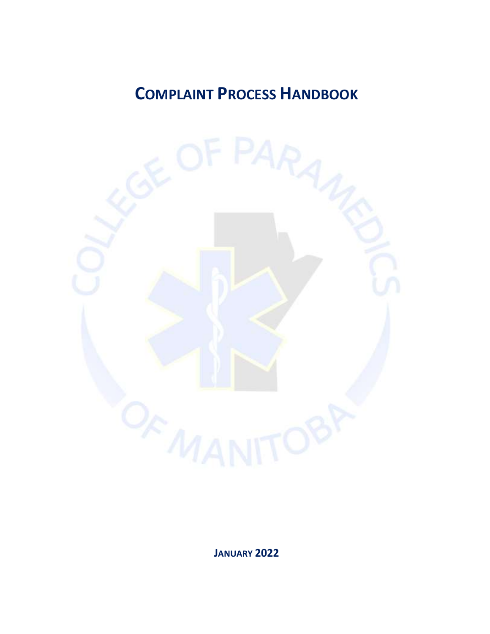# **COMPLAINT PROCESS HANDBOOK**



**JANUARY 2022**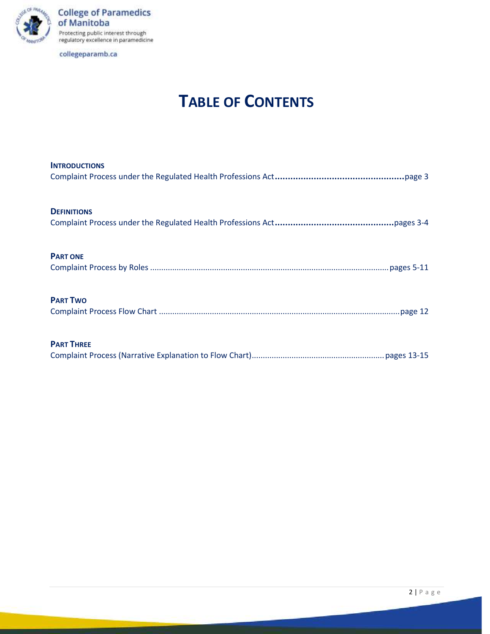

**College of Paramedics<br>of Manitoba** Protecting public interest through<br>regulatory excellence in paramedicine

collegeparamb.ca

# **TABLE OF CONTENTS**

| <b>INTRODUCTIONS</b> |
|----------------------|
|                      |
| <b>DEFINITIONS</b>   |
|                      |
| <b>PART ONE</b>      |
|                      |
| <b>PART TWO</b>      |
|                      |
| <b>PART THREE</b>    |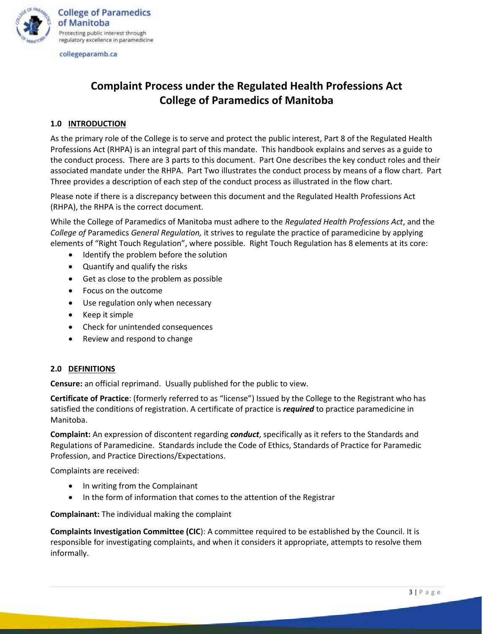

# **Complaint Process under the Regulated Health Professions Act College of Paramedics of Manitoba**

### **1.0 INTRODUCTION**

As the primary role of the College is to serve and protect the public interest, Part 8 of the Regulated Health Professions Act (RHPA) is an integral part of this mandate. This handbook explains and serves as a guide to the conduct process. There are 3 parts to this document. Part One describes the key conduct roles and their associated mandate under the RHPA. Part Two illustrates the conduct process by means of a flow chart. Part Three provides a description of each step of the conduct process as illustrated in the flow chart.

Please note if there is a discrepancy between this document and the Regulated Health Professions Act (RHPA), the RHPA is the correct document.

While the College of Paramedics of Manitoba must adhere to the *Regulated Health Professions Act*, and the *College of* Paramedics *General Regulation,* it strives to regulate the practice of paramedicine by applying elements of "Right Touch Regulation", where possible. Right Touch Regulation has 8 elements at its core:

- Identify the problem before the solution
- Quantify and qualify the risks
- Get as close to the problem as possible
- Focus on the outcome
- Use regulation only when necessary
- Keep it simple
- Check for unintended consequences
- Review and respond to change

#### **2.0 DEFINITIONS**

**Censure:** an official reprimand. Usually published for the public to view.

**Certificate of Practice**: (formerly referred to as "license") Issued by the College to the Registrant who has satisfied the conditions of registration. A certificate of practice is *required* to practice paramedicine in Manitoba.

**Complaint:** An expression of discontent regarding *conduct*, specifically as it refers to the Standards and Regulations of Paramedicine. Standards include the Code of Ethics, Standards of Practice for Paramedic Profession, and Practice Directions/Expectations.

Complaints are received:

- In writing from the Complainant
- In the form of information that comes to the attention of the Registrar

**Complainant:** The individual making the complaint

**Complaints Investigation Committee (CIC**): A committee required to be established by the Council. It is responsible for investigating complaints, and when it considers it appropriate, attempts to resolve them informally.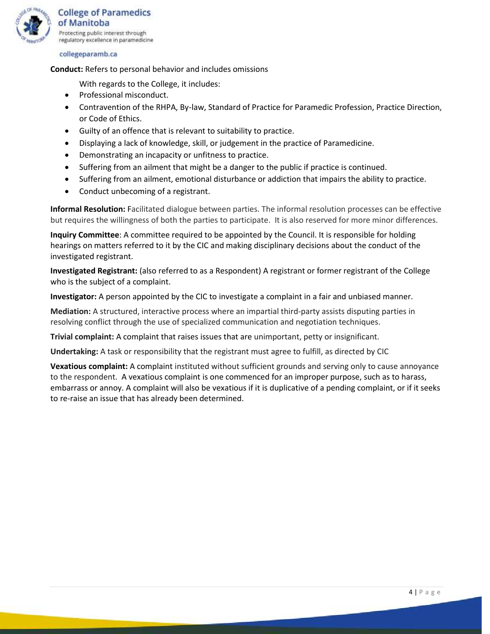

**Conduct:** Refers to personal behavior and includes omissions

With regards to the College, it includes:

- Professional misconduct.
- Contravention of the RHPA, By-law, Standard of Practice for Paramedic Profession, Practice Direction, or Code of Ethics.
- Guilty of an offence that is relevant to suitability to practice.
- Displaying a lack of knowledge, skill, or judgement in the practice of Paramedicine.
- Demonstrating an incapacity or unfitness to practice.
- Suffering from an ailment that might be a danger to the public if practice is continued.
- Suffering from an ailment, emotional disturbance or addiction that impairs the ability to practice.
- Conduct unbecoming of a registrant.

**Informal Resolution:** Facilitated dialogue between parties. The informal resolution processes can be effective but requires the willingness of both the parties to participate. It is also reserved for more minor differences.

**Inquiry Committee**: A committee required to be appointed by the Council. It is responsible for holding hearings on matters referred to it by the CIC and making disciplinary decisions about the conduct of the investigated registrant.

**Investigated Registrant:** (also referred to as a Respondent) A registrant or former registrant of the College who is the subject of a complaint.

**Investigator:** A person appointed by the CIC to investigate a complaint in a fair and unbiased manner.

**Mediation:** A structured, interactive process where an impartial third-party assists disputing parties in resolving conflict through the use of specialized communication and negotiation techniques.

**Trivial complaint:** A complaint that raises issues that are unimportant, petty or insignificant.

**Undertaking:** A task or responsibility that the registrant must agree to fulfill, as directed by CIC

**Vexatious complaint:** A complaint instituted without sufficient grounds and serving only to cause annoyance to the respondent. A vexatious complaint is one commenced for an improper purpose, such as to harass, embarrass or annoy. A complaint will also be vexatious if it is duplicative of a pending complaint, or if it seeks to re-raise an issue that has already been determined.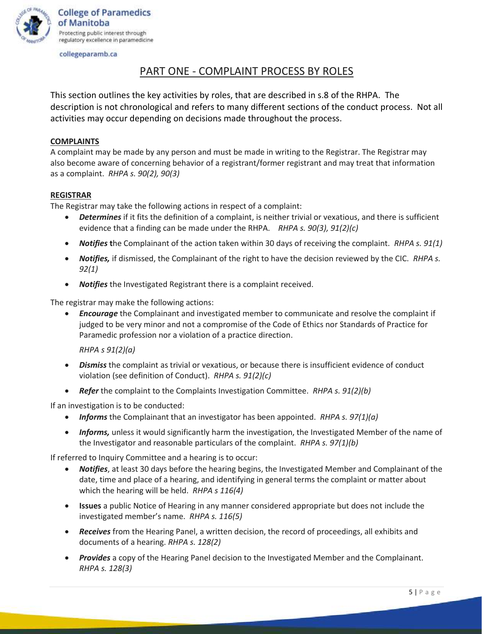

# PART ONE - COMPLAINT PROCESS BY ROLES

This section outlines the key activities by roles, that are described in s.8 of the RHPA. The description is not chronological and refers to many different sections of the conduct process. Not all activities may occur depending on decisions made throughout the process.

## **COMPLAINTS**

A complaint may be made by any person and must be made in writing to the Registrar. The Registrar may also become aware of concerning behavior of a registrant/former registrant and may treat that information as a complaint. *RHPA s. 90(2), 90(3)*

### **REGISTRAR**

The Registrar may take the following actions in respect of a complaint:

- *Determines* if it fits the definition of a complaint, is neither trivial or vexatious, and there is sufficient evidence that a finding can be made under the RHPA. *RHPA s. 90(3), 91(2)(c)*
- *Notifies* **t**he Complainant of the action taken within 30 days of receiving the complaint. *RHPA s. 91(1)*
- *Notifies,* if dismissed, the Complainant of the right to have the decision reviewed by the CIC. *RHPA s. 92(1)*
- *Notifies* the Investigated Registrant there is a complaint received.

The registrar may make the following actions:

• *Encourage* the Complainant and investigated member to communicate and resolve the complaint if judged to be very minor and not a compromise of the Code of Ethics nor Standards of Practice for Paramedic profession nor a violation of a practice direction.

*RHPA s 91(2)(a)*

- *Dismiss* the complaint as trivial or vexatious, or because there is insufficient evidence of conduct violation (see definition of Conduct). *RHPA s. 91(2)(c)*
- *Refer* the complaint to the Complaints Investigation Committee. *RHPA s. 91(2)(b)*

If an investigation is to be conducted:

- *Informs* the Complainant that an investigator has been appointed. *RHPA s. 97(1)(a)*
- *Informs,* unless it would significantly harm the investigation, the Investigated Member of the name of the Investigator and reasonable particulars of the complaint. *RHPA s. 97(1)(b)*

If referred to Inquiry Committee and a hearing is to occur:

- *Notifies*, at least 30 days before the hearing begins, the Investigated Member and Complainant of the date, time and place of a hearing, and identifying in general terms the complaint or matter about which the hearing will be held. *RHPA s 116(4)*
- **Issues** a public Notice of Hearing in any manner considered appropriate but does not include the investigated member's name. *RHPA s. 116(5)*
- *Receives* from the Hearing Panel, a written decision, the record of proceedings, all exhibits and documents of a hearing. *RHPA s. 128(2)*
- *Provides* a copy of the Hearing Panel decision to the Investigated Member and the Complainant. *RHPA s. 128(3)*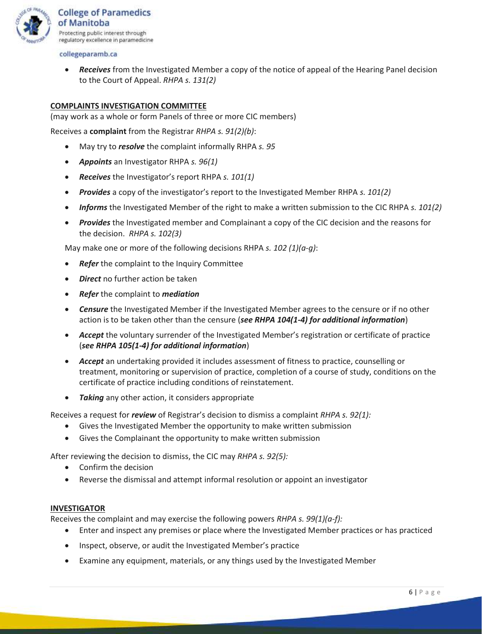

• *Receives* from the Investigated Member a copy of the notice of appeal of the Hearing Panel decision to the Court of Appeal. *RHPA s. 131(2)*

## **COMPLAINTS INVESTIGATION COMMITTEE**

(may work as a whole or form Panels of three or more CIC members)

Receives a **complaint** from the Registrar *RHPA s. 91(2)(b)*:

- May try to *resolve* the complaint informally RHPA *s. 95*
- *Appoints* an Investigator RHPA *s. 96(1)*
- *Receives* the Investigator's report RHPA *s. 101(1)*
- *Provides* a copy of the investigator's report to the Investigated Member RHPA *s. 101(2)*
- *Informs* the Investigated Member of the right to make a written submission to the CIC RHPA *s. 101(2)*
- *Provides* the Investigated member and Complainant a copy of the CIC decision and the reasons for the decision. *RHPA s. 102(3)*

May make one or more of the following decisions RHPA *s. 102 (1)(a-g)*:

- **Refer** the complaint to the Inquiry Committee
- *Direct* no further action be taken
- *Refer* the complaint to *mediation*
- *Censure* the Investigated Member if the Investigated Member agrees to the censure or if no other action is to be taken other than the censure (*see RHPA 104(1-4) for additional information*)
- *Accept* the voluntary surrender of the Investigated Member's registration or certificate of practice (*see RHPA 105(1-4) for additional information*)
- *Accept* an undertaking provided it includes assessment of fitness to practice, counselling or treatment, monitoring or supervision of practice, completion of a course of study, conditions on the certificate of practice including conditions of reinstatement.
- *Taking* any other action, it considers appropriate

Receives a request for *review* of Registrar's decision to dismiss a complaint *RHPA s. 92(1):*

- Gives the Investigated Member the opportunity to make written submission
- Gives the Complainant the opportunity to make written submission

After reviewing the decision to dismiss, the CIC may *RHPA s. 92(5):*

- Confirm the decision
- Reverse the dismissal and attempt informal resolution or appoint an investigator

#### **INVESTIGATOR**

Receives the complaint and may exercise the following powers *RHPA s. 99(1)(a-f):*

- Enter and inspect any premises or place where the Investigated Member practices or has practiced
- Inspect, observe, or audit the Investigated Member's practice
- Examine any equipment, materials, or any things used by the Investigated Member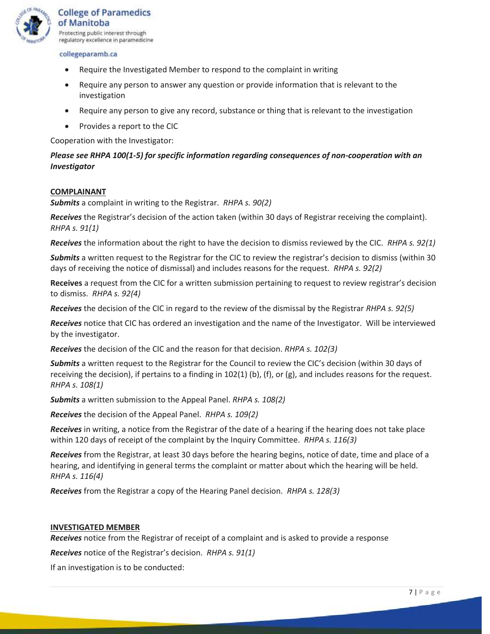

- Require the Investigated Member to respond to the complaint in writing
- Require any person to answer any question or provide information that is relevant to the investigation
- Require any person to give any record, substance or thing that is relevant to the investigation
- Provides a report to the CIC

Cooperation with the Investigator:

# *Please see RHPA 100(1-5) for specific information regarding consequences of non-cooperation with an Investigator*

#### **COMPLAINANT**

*Submits* a complaint in writing to the Registrar. *RHPA s. 90(2)*

*Receives* the Registrar's decision of the action taken (within 30 days of Registrar receiving the complaint). *RHPA s. 91(1)*

*Receives* the information about the right to have the decision to dismiss reviewed by the CIC. *RHPA s. 92(1)*

*Submits* a written request to the Registrar for the CIC to review the registrar's decision to dismiss (within 30 days of receiving the notice of dismissal) and includes reasons for the request. *RHPA s. 92(2)*

**Receives** a request from the CIC for a written submission pertaining to request to review registrar's decision to dismiss. *RHPA s. 92(4)*

*Receives* the decision of the CIC in regard to the review of the dismissal by the Registrar *RHPA s. 92(5)*

*Receives* notice that CIC has ordered an investigation and the name of the Investigator. Will be interviewed by the investigator.

*Receives* the decision of the CIC and the reason for that decision. *RHPA s. 102(3)*

*Submits* a written request to the Registrar for the Council to review the CIC's decision (within 30 days of receiving the decision), if pertains to a finding in  $102(1)$  (b), (f), or (g), and includes reasons for the request. *RHPA s. 108(1)*

*Submits* a written submission to the Appeal Panel. *RHPA s. 108(2)*

*Receives* the decision of the Appeal Panel. *RHPA s. 109(2)*

*Receives* in writing, a notice from the Registrar of the date of a hearing if the hearing does not take place within 120 days of receipt of the complaint by the Inquiry Committee. *RHPA s. 116(3)*

*Receives* from the Registrar, at least 30 days before the hearing begins, notice of date, time and place of a hearing, and identifying in general terms the complaint or matter about which the hearing will be held. *RHPA s. 116(4)*

*Receives* from the Registrar a copy of the Hearing Panel decision. *RHPA s. 128(3)*

#### **INVESTIGATED MEMBER**

*Receives* notice from the Registrar of receipt of a complaint and is asked to provide a response

*Receives* notice of the Registrar's decision. *RHPA s. 91(1)*

If an investigation is to be conducted: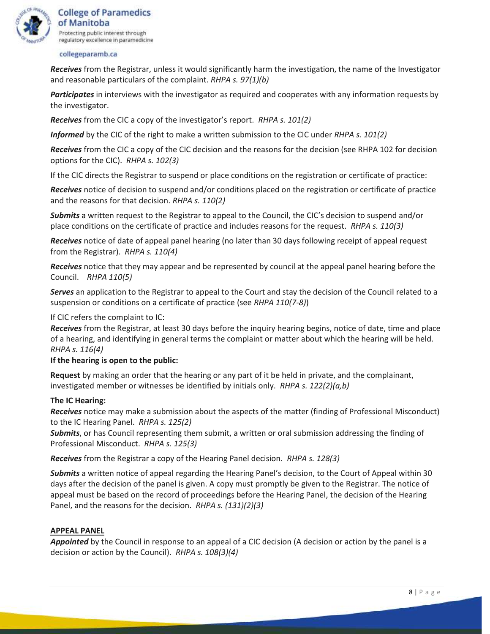

*Receives* from the Registrar, unless it would significantly harm the investigation, the name of the Investigator and reasonable particulars of the complaint. *RHPA s. 97(1)(b)*

*Participates* in interviews with the investigator as required and cooperates with any information requests by the investigator.

*Receives* from the CIC a copy of the investigator's report. *RHPA s. 101(2)*

*Informed* by the CIC of the right to make a written submission to the CIC under *RHPA s. 101(2)*

*Receives* from the CIC a copy of the CIC decision and the reasons for the decision (see RHPA 102 for decision options for the CIC). *RHPA s. 102(3)*

If the CIC directs the Registrar to suspend or place conditions on the registration or certificate of practice:

*Receives* notice of decision to suspend and/or conditions placed on the registration or certificate of practice and the reasons for that decision. *RHPA s. 110(2)*

*Submits* a written request to the Registrar to appeal to the Council, the CIC's decision to suspend and/or place conditions on the certificate of practice and includes reasons for the request. *RHPA s. 110(3)*

*Receives* notice of date of appeal panel hearing (no later than 30 days following receipt of appeal request from the Registrar). *RHPA s. 110(4)*

*Receives* notice that they may appear and be represented by council at the appeal panel hearing before the Council. *RHPA 110(5)*

*Serves* an application to the Registrar to appeal to the Court and stay the decision of the Council related to a suspension or conditions on a certificate of practice (see *RHPA 110(7-8)*)

If CIC refers the complaint to IC:

*Receives* from the Registrar, at least 30 days before the inquiry hearing begins, notice of date, time and place of a hearing, and identifying in general terms the complaint or matter about which the hearing will be held. *RHPA s. 116(4)*

#### **If the hearing is open to the public:**

**Request** by making an order that the hearing or any part of it be held in private, and the complainant, investigated member or witnesses be identified by initials only. *RHPA s. 122(2)(a,b)*

#### **The IC Hearing:**

*Receives* notice may make a submission about the aspects of the matter (finding of Professional Misconduct) to the IC Hearing Panel. *RHPA s. 125(2)*

*Submits*, or has Council representing them submit, a written or oral submission addressing the finding of Professional Misconduct. *RHPA s. 125(3)*

*Receives* from the Registrar a copy of the Hearing Panel decision. *RHPA s. 128(3)*

*Submits* a written notice of appeal regarding the Hearing Panel's decision, to the Court of Appeal within 30 days after the decision of the panel is given. A copy must promptly be given to the Registrar. The notice of appeal must be based on the record of proceedings before the Hearing Panel, the decision of the Hearing Panel, and the reasons for the decision. *RHPA s. (131)(2)(3)*

#### **APPEAL PANEL**

*Appointed* by the Council in response to an appeal of a CIC decision (A decision or action by the panel is a decision or action by the Council). *RHPA s. 108(3)(4)*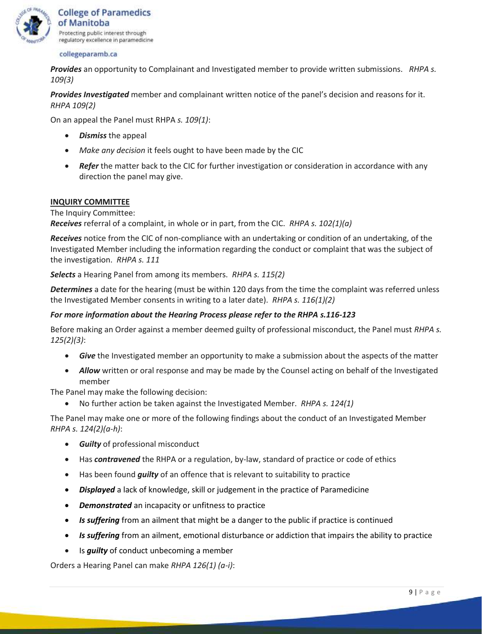

*Provides* an opportunity to Complainant and Investigated member to provide written submissions. *RHPA s. 109(3)*

*Provides Investigated* member and complainant written notice of the panel's decision and reasons for it. *RHPA 109(2)*

On an appeal the Panel must RHPA *s. 109(1)*:

- *Dismiss* the appeal
- *Make any decision* it feels ought to have been made by the CIC
- *Refer* the matter back to the CIC for further investigation or consideration in accordance with any direction the panel may give.

#### **INQUIRY COMMITTEE**

The Inquiry Committee:

*Receives* referral of a complaint, in whole or in part, from the CIC. *RHPA s. 102(1)(a)*

*Receives* notice from the CIC of non-compliance with an undertaking or condition of an undertaking, of the Investigated Member including the information regarding the conduct or complaint that was the subject of the investigation. *RHPA s. 111*

*Selects* a Hearing Panel from among its members. *RHPA s. 115(2)*

*Determines* a date for the hearing (must be within 120 days from the time the complaint was referred unless the Investigated Member consents in writing to a later date). *RHPA s. 116(1)(2)*

#### *For more information about the Hearing Process please refer to the RHPA s.116-123*

Before making an Order against a member deemed guilty of professional misconduct, the Panel must *RHPA s. 125(2)(3)*:

- *Give* the Investigated member an opportunity to make a submission about the aspects of the matter
- *Allow* written or oral response and may be made by the Counsel acting on behalf of the Investigated member

The Panel may make the following decision:

• No further action be taken against the Investigated Member. *RHPA s. 124(1)*

The Panel may make one or more of the following findings about the conduct of an Investigated Member *RHPA s. 124(2)(a-h)*:

- *Guilty* of professional misconduct
- Has *contravened* the RHPA or a regulation, by-law, standard of practice or code of ethics
- Has been found *guilty* of an offence that is relevant to suitability to practice
- *Displayed* a lack of knowledge, skill or judgement in the practice of Paramedicine
- *Demonstrated* an incapacity or unfitness to practice
- *Is suffering* from an ailment that might be a danger to the public if practice is continued
- *Is suffering* from an ailment, emotional disturbance or addiction that impairs the ability to practice
- Is *guilty* of conduct unbecoming a member

Orders a Hearing Panel can make *RHPA 126(1) (a-i)*: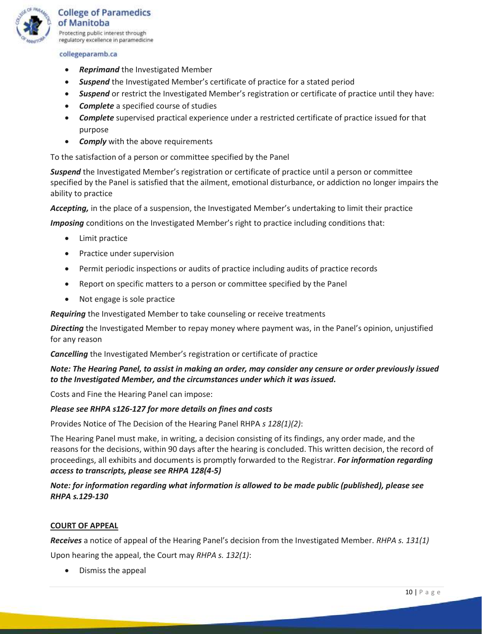

- *Reprimand* the Investigated Member
- *Suspend* the Investigated Member's certificate of practice for a stated period
- *Suspend* or restrict the Investigated Member's registration or certificate of practice until they have:
- *Complete* a specified course of studies
- *Complete* supervised practical experience under a restricted certificate of practice issued for that purpose
- *Comply* with the above requirements

To the satisfaction of a person or committee specified by the Panel

*Suspend* the Investigated Member's registration or certificate of practice until a person or committee specified by the Panel is satisfied that the ailment, emotional disturbance, or addiction no longer impairs the ability to practice

*Accepting,* in the place of a suspension, the Investigated Member's undertaking to limit their practice

*Imposing* conditions on the Investigated Member's right to practice including conditions that:

- Limit practice
- Practice under supervision
- Permit periodic inspections or audits of practice including audits of practice records
- Report on specific matters to a person or committee specified by the Panel
- Not engage is sole practice

*Requiring* the Investigated Member to take counseling or receive treatments

*Directing* the Investigated Member to repay money where payment was, in the Panel's opinion, unjustified for any reason

*Cancelling* the Investigated Member's registration or certificate of practice

## *Note: The Hearing Panel, to assist in making an order, may consider any censure or order previously issued to the Investigated Member, and the circumstances under which it was issued.*

Costs and Fine the Hearing Panel can impose:

#### *Please see RHPA s126-127 for more details on fines and costs*

Provides Notice of The Decision of the Hearing Panel RHPA *s 128(1)(2)*:

The Hearing Panel must make, in writing, a decision consisting of its findings, any order made, and the reasons for the decisions, within 90 days after the hearing is concluded. This written decision, the record of proceedings, all exhibits and documents is promptly forwarded to the Registrar. *For information regarding access to transcripts, please see RHPA 128(4-5)*

## *Note: for information regarding what information is allowed to be made public (published), please see RHPA s.129-130*

#### **COURT OF APPEAL**

*Receives* a notice of appeal of the Hearing Panel's decision from the Investigated Member. *RHPA s. 131(1)*

Upon hearing the appeal, the Court may *RHPA s. 132(1)*:

• Dismiss the appeal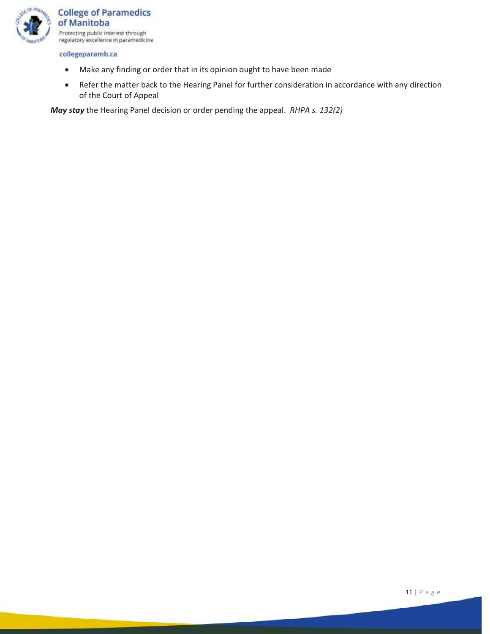

- Make any finding or order that in its opinion ought to have been made
- Refer the matter back to the Hearing Panel for further consideration in accordance with any direction of the Court of Appeal

*May stay* the Hearing Panel decision or order pending the appeal. *RHPA s. 132(2)*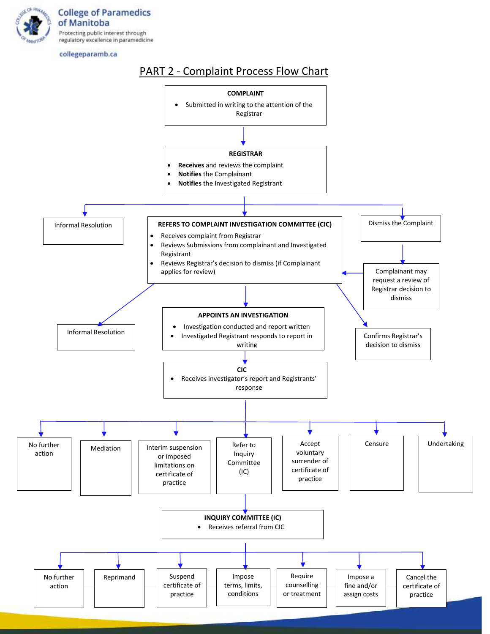

# PART 2 - Complaint Process Flow Chart

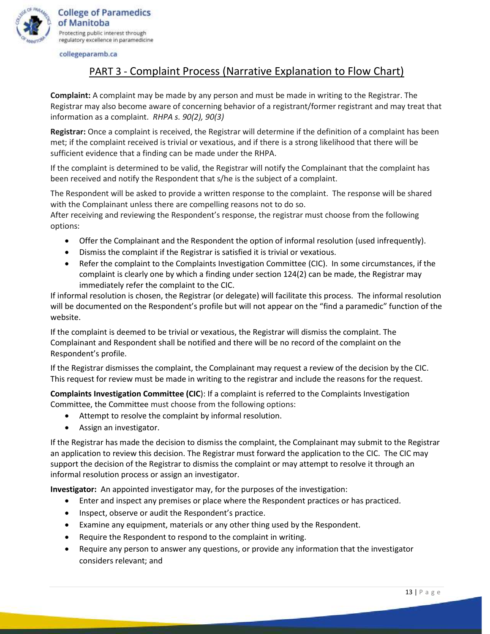

**College of Paramedics** of Manitoba Protecting public interest through regulatory excellence in paramedicine

collegeparamb.ca

# PART 3 - Complaint Process (Narrative Explanation to Flow Chart)

**Complaint:** A complaint may be made by any person and must be made in writing to the Registrar. The Registrar may also become aware of concerning behavior of a registrant/former registrant and may treat that information as a complaint. *RHPA s. 90(2), 90(3)*

**Registrar:** Once a complaint is received, the Registrar will determine if the definition of a complaint has been met; if the complaint received is trivial or vexatious, and if there is a strong likelihood that there will be sufficient evidence that a finding can be made under the RHPA.

If the complaint is determined to be valid, the Registrar will notify the Complainant that the complaint has been received and notify the Respondent that s/he is the subject of a complaint.

The Respondent will be asked to provide a written response to the complaint. The response will be shared with the Complainant unless there are compelling reasons not to do so.

After receiving and reviewing the Respondent's response, the registrar must choose from the following options:

- Offer the Complainant and the Respondent the option of informal resolution (used infrequently).
- Dismiss the complaint if the Registrar is satisfied it is trivial or vexatious.
- Refer the complaint to the Complaints Investigation Committee (CIC). In some circumstances, if the complaint is clearly one by which a finding under section 124(2) can be made, the Registrar may immediately refer the complaint to the CIC.

If informal resolution is chosen, the Registrar (or delegate) will facilitate this process. The informal resolution will be documented on the Respondent's profile but will not appear on the "find a paramedic" function of the website.

If the complaint is deemed to be trivial or vexatious, the Registrar will dismiss the complaint. The Complainant and Respondent shall be notified and there will be no record of the complaint on the Respondent's profile.

If the Registrar dismisses the complaint, the Complainant may request a review of the decision by the CIC. This request for review must be made in writing to the registrar and include the reasons for the request.

**Complaints Investigation Committee (CIC**): If a complaint is referred to the Complaints Investigation Committee, the Committee must choose from the following options:

- Attempt to resolve the complaint by informal resolution.
- Assign an investigator.

If the Registrar has made the decision to dismiss the complaint, the Complainant may submit to the Registrar an application to review this decision. The Registrar must forward the application to the CIC. The CIC may support the decision of the Registrar to dismiss the complaint or may attempt to resolve it through an informal resolution process or assign an investigator.

**Investigator:** An appointed investigator may, for the purposes of the investigation:

- Enter and inspect any premises or place where the Respondent practices or has practiced.
- Inspect, observe or audit the Respondent's practice.
- Examine any equipment, materials or any other thing used by the Respondent.
- Require the Respondent to respond to the complaint in writing.
- Require any person to answer any questions, or provide any information that the investigator considers relevant; and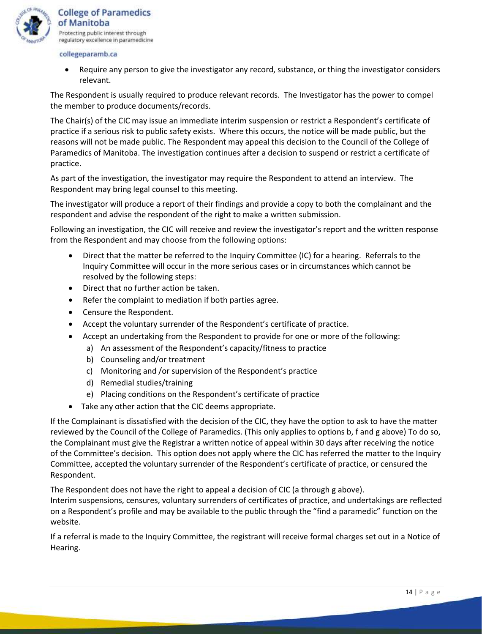

• Require any person to give the investigator any record, substance, or thing the investigator considers relevant.

The Respondent is usually required to produce relevant records. The Investigator has the power to compel the member to produce documents/records.

The Chair(s) of the CIC may issue an immediate interim suspension or restrict a Respondent's certificate of practice if a serious risk to public safety exists. Where this occurs, the notice will be made public, but the reasons will not be made public. The Respondent may appeal this decision to the Council of the College of Paramedics of Manitoba. The investigation continues after a decision to suspend or restrict a certificate of practice.

As part of the investigation, the investigator may require the Respondent to attend an interview. The Respondent may bring legal counsel to this meeting.

The investigator will produce a report of their findings and provide a copy to both the complainant and the respondent and advise the respondent of the right to make a written submission.

Following an investigation, the CIC will receive and review the investigator's report and the written response from the Respondent and may choose from the following options:

- Direct that the matter be referred to the Inquiry Committee (IC) for a hearing. Referrals to the Inquiry Committee will occur in the more serious cases or in circumstances which cannot be resolved by the following steps:
- Direct that no further action be taken.
- Refer the complaint to mediation if both parties agree.
- Censure the Respondent.
- Accept the voluntary surrender of the Respondent's certificate of practice.
- Accept an undertaking from the Respondent to provide for one or more of the following:
	- a) An assessment of the Respondent's capacity/fitness to practice
	- b) Counseling and/or treatment
	- c) Monitoring and /or supervision of the Respondent's practice
	- d) Remedial studies/training
	- e) Placing conditions on the Respondent's certificate of practice
- Take any other action that the CIC deems appropriate.

If the Complainant is dissatisfied with the decision of the CIC, they have the option to ask to have the matter reviewed by the Council of the College of Paramedics. (This only applies to options b, f and g above) To do so, the Complainant must give the Registrar a written notice of appeal within 30 days after receiving the notice of the Committee's decision. This option does not apply where the CIC has referred the matter to the Inquiry Committee, accepted the voluntary surrender of the Respondent's certificate of practice, or censured the Respondent.

The Respondent does not have the right to appeal a decision of CIC (a through g above).

Interim suspensions, censures, voluntary surrenders of certificates of practice, and undertakings are reflected on a Respondent's profile and may be available to the public through the "find a paramedic" function on the website.

If a referral is made to the Inquiry Committee, the registrant will receive formal charges set out in a Notice of Hearing.